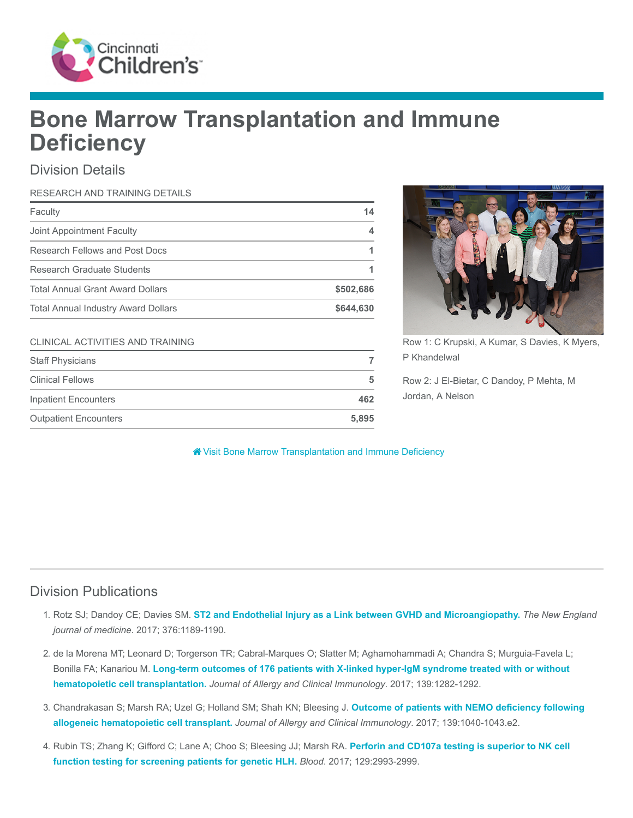

# Bone Marrow Transplantation and Immune **Deficiency**

## Division Details

| RESEARCH AND TRAINING DETAILS              |           |
|--------------------------------------------|-----------|
| Faculty                                    | 14        |
| Joint Appointment Faculty                  |           |
| Research Fellows and Post Docs             |           |
| Research Graduate Students                 |           |
| <b>Total Annual Grant Award Dollars</b>    | \$502,686 |
| <b>Total Annual Industry Award Dollars</b> | \$644,630 |

#### CLINICAL ACTIVITIES AND TRAINING

| <b>Staff Physicians</b>      |       |
|------------------------------|-------|
| <b>Clinical Fellows</b>      | 5     |
| <b>Inpatient Encounters</b>  | 462   |
| <b>Outpatient Encounters</b> | 5.895 |



Row 1: C Krupski, A Kumar, S Davies, K Myers, P Khandelwal

Row 2: J El-Bietar, C Dandoy, P Mehta, M Jordan, A Nelson

#### [Visit Bone Marrow Transplantation and Immune Deficiency](https://www.cincinnatichildrens.org/research/divisions/b/bone-marrow)

#### Division Publications

- 1. Rotz SJ; Dandoy CE; Davies SM. [ST2 and Endothelial Injury as a Link between GVHD and Microangiopathy.](https://www.ncbi.nlm.nih.gov/pubmed/28328331) The New England journal of medicine. 2017; 376:1189-1190.
- 2. de la Morena MT; Leonard D; Torgerson TR; Cabral-Marques O; Slatter M; Aghamohammadi A; Chandra S; Murguia-Favela L; Bonilla FA; Kanariou M. [Long-term outcomes of 176 patients with X-linked hyper-IgM syndrome treated with or without](https://www.ncbi.nlm.nih.gov/pubmed/27697500) hematopoietic cell transplantation. Journal of Allergy and Clinical Immunology. 2017; 139:1282-1292.
- 3. [Chandrakasan S; Marsh RA; Uzel G; Holland SM; Shah KN; Bleesing J.](https://www.ncbi.nlm.nih.gov/pubmed/27744027) Outcome of patients with NEMO deficiency following allogeneic hematopoietic cell transplant. Journal of Allergy and Clinical Immunology. 2017; 139:1040-1043.e2.
- 4. [Rubin TS; Zhang K; Gifford C; Lane A; Choo S; Bleesing JJ; Marsh RA.](https://www.ncbi.nlm.nih.gov/pubmed/28270454) Perforin and CD107a testing is superior to NK cell function testing for screening patients for genetic HLH. Blood. 2017; 129:2993-2999.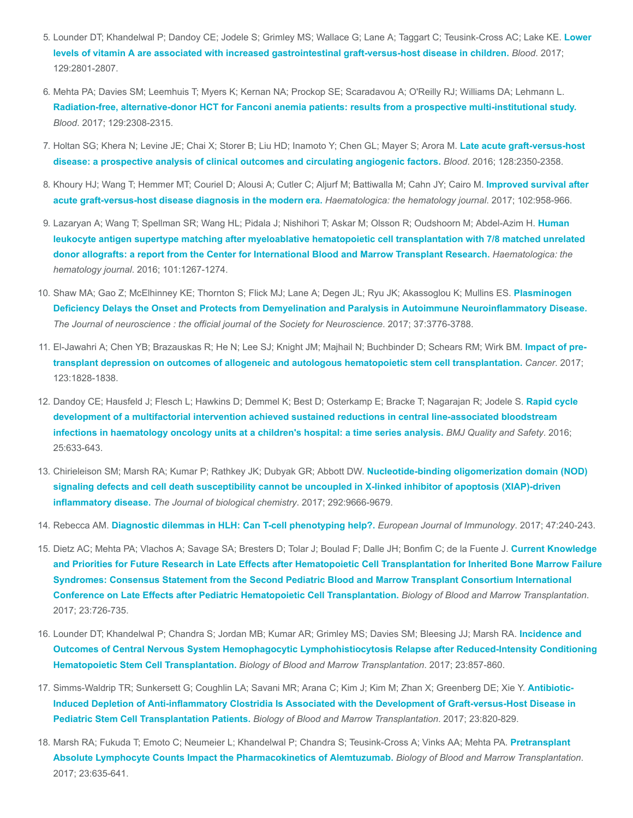- 5. [Lounder DT; Khandelwal P; Dandoy CE; Jodele S; Grimley MS; Wallace G; Lane A; Taggart C; Teusink-Cross AC; Lake KE.](https://www.ncbi.nlm.nih.gov/pubmed/28279965) Lower levels of vitamin A are associated with increased gastrointestinal graft-versus-host disease in children. Blood. 2017; 129:2801-2807.
- 6. Mehta PA; Davies SM; Leemhuis T; Myers K; Kernan NA; Prockop SE; Scaradavou A; O'Reilly RJ; Williams DA; Lehmann L. [Radiation-free, alternative-donor HCT for Fanconi anemia patients: results from a prospective multi-institutional study.](https://www.ncbi.nlm.nih.gov/pubmed/28179273) Blood. 2017; 129:2308-2315.
- 7. [Holtan SG; Khera N; Levine JE; Chai X; Storer B; Liu HD; Inamoto Y; Chen GL; Mayer S; Arora M.](https://www.ncbi.nlm.nih.gov/pubmed/27625357) Late acute graft-versus-host disease: a prospective analysis of clinical outcomes and circulating angiogenic factors. Blood. 2016; 128:2350-2358.
- 8. [Khoury HJ; Wang T; Hemmer MT; Couriel D; Alousi A; Cutler C; Aljurf M; Battiwalla M; Cahn JY; Cairo M.](https://www.ncbi.nlm.nih.gov/pubmed/28302712) Improved survival after acute graft-versus-host disease diagnosis in the modern era. Haematologica: the hematology journal. 2017; 102:958-966.
- 9. [Lazaryan A; Wang T; Spellman SR; Wang HL; Pidala J; Nishihori T; Askar M; Olsson R; Oudshoorn M; Abdel-Azim H.](https://www.ncbi.nlm.nih.gov/pubmed/27247320) Human leukocyte antigen supertype matching after myeloablative hematopoietic cell transplantation with 7/8 matched unrelated donor allografts: a report from the Center for International Blood and Marrow Transplant Research. Haematologica: the hematology journal. 2016; 101:1267-1274.
- 10. Shaw MA; Gao Z; McElhinney KE; Thornton S; Flick MJ; Lane A; Degen JL; Ryu JK; Akassoglou K; Mullins ES. Plasminogen [Deficiency Delays the Onset and Protects from Demyelination and Paralysis in Autoimmune Neuroinflammatory Disease.](https://www.ncbi.nlm.nih.gov/pubmed/28275164) The Journal of neuroscience : the official journal of the Society for Neuroscience. 2017; 37:3776-3788.
- 11. [El-Jawahri A; Chen YB; Brazauskas R; He N; Lee SJ; Knight JM; Majhail N; Buchbinder D; Schears RM; Wirk BM.](https://www.ncbi.nlm.nih.gov/pubmed/28102896) Impact of pretransplant depression on outcomes of allogeneic and autologous hematopoietic stem cell transplantation. Cancer. 2017; 123:1828-1838.
- 12. [Dandoy CE; Hausfeld J; Flesch L; Hawkins D; Demmel K; Best D; Osterkamp E; Bracke T; Nagarajan R; Jodele S.](https://www.ncbi.nlm.nih.gov/pubmed/26608456) Rapid cycle development of a multifactorial intervention achieved sustained reductions in central line-associated bloodstream infections in haematology oncology units at a children's hospital: a time series analysis. BMJ Quality and Safety. 2016; 25:633-643.
- 13. Chirieleison SM; Marsh RA; Kumar P; Rathkey JK; Dubyak GR; Abbott DW. Nucleotide-binding oligomerization domain (NOD) [signaling defects and cell death susceptibility cannot be uncoupled in X-linked inhibitor of apoptosis \(XIAP\)-driven](https://www.ncbi.nlm.nih.gov/pubmed/28404814) inflammatory disease. The Journal of biological chemistry. 2017; 292:9666-9679.
- 14. Rebecca AM. [Diagnostic dilemmas in HLH: Can T-cell phenotyping help?.](https://www.ncbi.nlm.nih.gov/pubmed/28185252) European Journal of Immunology. 2017; 47:240-243.
- 15. Dietz AC; Mehta PA; Vlachos A; Savage SA; Bresters D; Tolar J; Boulad F; Dalle JH; Bonfim C; de la Fuente J. Current Knowledge [and Priorities for Future Research in Late Effects after Hematopoietic Cell Transplantation for Inherited Bone Marrow Failure](https://www.ncbi.nlm.nih.gov/pubmed/28115275) Syndromes: Consensus Statement from the Second Pediatric Blood and Marrow Transplant Consortium International Conference on Late Effects after Pediatric Hematopoietic Cell Transplantation. Biology of Blood and Marrow Transplantation. 2017; 23:726-735.
- 16. Lounder DT; Khandelwal P; Chandra S; Jordan MB; Kumar AR; Grimley MS; Davies SM; Bleesing JJ; Marsh RA. Incidence and [Outcomes of Central Nervous System Hemophagocytic Lymphohistiocytosis Relapse after Reduced-Intensity Conditioning](https://www.ncbi.nlm.nih.gov/pubmed/28219834) Hematopoietic Stem Cell Transplantation. Biology of Blood and Marrow Transplantation. 2017; 23:857-860.
- 17. [Simms-Waldrip TR; Sunkersett G; Coughlin LA; Savani MR; Arana C; Kim J; Kim M; Zhan X; Greenberg DE; Xie Y.](https://www.ncbi.nlm.nih.gov/pubmed/28192251) Antibiotic-Induced Depletion of Anti-inflammatory Clostridia Is Associated with the Development of Graft-versus-Host Disease in Pediatric Stem Cell Transplantation Patients. Biology of Blood and Marrow Transplantation. 2017; 23:820-829.
- 18. [Marsh RA; Fukuda T; Emoto C; Neumeier L; Khandelwal P; Chandra S; Teusink-Cross A; Vinks AA; Mehta PA.](https://www.ncbi.nlm.nih.gov/pubmed/28089878) Pretransplant Absolute Lymphocyte Counts Impact the Pharmacokinetics of Alemtuzumab. Biology of Blood and Marrow Transplantation. 2017; 23:635-641.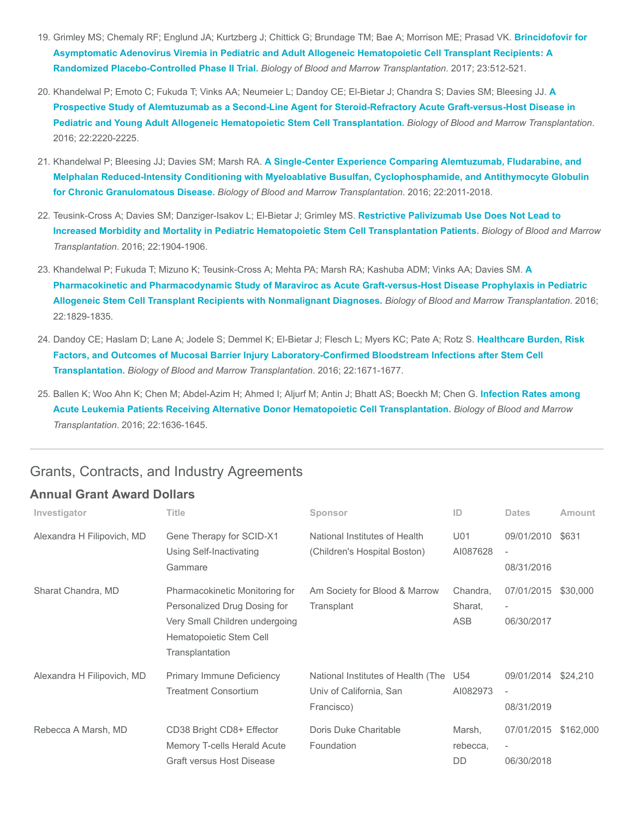- 19. [Grimley MS; Chemaly RF; Englund JA; Kurtzberg J; Chittick G; Brundage TM; Bae A; Morrison ME; Prasad VK.](https://www.ncbi.nlm.nih.gov/pubmed/28063938) Brincidofovir for Asymptomatic Adenovirus Viremia in Pediatric and Adult Allogeneic Hematopoietic Cell Transplant Recipients: A Randomized Placebo-Controlled Phase II Trial. Biology of Blood and Marrow Transplantation. 2017; 23:512-521.
- 20. [Khandelwal P; Emoto C; Fukuda T; Vinks AA; Neumeier L; Dandoy CE; El-Bietar J; Chandra S; Davies SM; Bleesing JJ.](https://www.ncbi.nlm.nih.gov/pubmed/27664325) A Prospective Study of Alemtuzumab as a Second-Line Agent for Steroid-Refractory Acute Graft-versus-Host Disease in Pediatric and Young Adult Allogeneic Hematopoietic Stem Cell Transplantation. Biology of Blood and Marrow Transplantation. 2016; 22:2220-2225.
- 21. Khandelwal P; Bleesing JJ; Davies SM; Marsh RA. A Single-Center Experience Comparing Alemtuzumab, Fludarabine, and [Melphalan Reduced-Intensity Conditioning with Myeloablative Busulfan, Cyclophosphamide, and Antithymocyte Globulin](https://www.ncbi.nlm.nih.gov/pubmed/27543157) for Chronic Granulomatous Disease. Biology of Blood and Marrow Transplantation. 2016; 22:2011-2018.
- 22. Teusink-Cross A; Davies SM; Danziger-Isakov L; El-Bietar J; Grimley MS. Restrictive Palivizumab Use Does Not Lead to [Increased Morbidity and Mortality in Pediatric Hematopoietic Stem Cell Transplantation Patients.](https://www.ncbi.nlm.nih.gov/pubmed/27422147) Biology of Blood and Marrow Transplantation. 2016; 22:1904-1906.
- 23. [Khandelwal P; Fukuda T; Mizuno K; Teusink-Cross A; Mehta PA; Marsh RA; Kashuba ADM; Vinks AA; Davies SM.](https://www.ncbi.nlm.nih.gov/pubmed/27498124) A Pharmacokinetic and Pharmacodynamic Study of Maraviroc as Acute Graft-versus-Host Disease Prophylaxis in Pediatric Allogeneic Stem Cell Transplant Recipients with Nonmalignant Diagnoses. Biology of Blood and Marrow Transplantation. 2016; 22:1829-1835.
- 24. Dandoy CE; Haslam D; Lane A; Jodele S; Demmel K; El-Bietar J; Flesch L; Myers KC; Pate A; Rotz S. Healthcare Burden, Risk [Factors, and Outcomes of Mucosal Barrier Injury Laboratory-Confirmed Bloodstream Infections after Stem Cell](https://www.ncbi.nlm.nih.gov/pubmed/27311966) Transplantation. Biology of Blood and Marrow Transplantation. 2016; 22:1671-1677.
- 25. [Ballen K; Woo Ahn K; Chen M; Abdel-Azim H; Ahmed I; Aljurf M; Antin J; Bhatt AS; Boeckh M; Chen G.](https://www.ncbi.nlm.nih.gov/pubmed/27343716) Infection Rates among Acute Leukemia Patients Receiving Alternative Donor Hematopoietic Cell Transplantation. Biology of Blood and Marrow Transplantation. 2016; 22:1636-1645.

## Grants, Contracts, and Industry Agreements

#### Annual Grant Award Dollars

| Investigator               | <b>Title</b>                                                                                                                                   | Sponsor                                                                         | ID                         | <b>Dates</b>                                         | Amount    |
|----------------------------|------------------------------------------------------------------------------------------------------------------------------------------------|---------------------------------------------------------------------------------|----------------------------|------------------------------------------------------|-----------|
| Alexandra H Filipovich, MD | Gene Therapy for SCID-X1<br>Using Self-Inactivating<br>Gammare                                                                                 | National Institutes of Health<br>(Children's Hospital Boston)                   | U01<br>AI087628            | 09/01/2010<br>$\overline{\phantom{a}}$<br>08/31/2016 | \$631     |
| Sharat Chandra, MD         | Pharmacokinetic Monitoring for<br>Personalized Drug Dosing for<br>Very Small Children undergoing<br>Hematopoietic Stem Cell<br>Transplantation | Am Society for Blood & Marrow<br>Transplant                                     | Chandra,<br>Sharat,<br>ASB | 07/01/2015<br>$\overline{\phantom{a}}$<br>06/30/2017 | \$30,000  |
| Alexandra H Filipovich, MD | Primary Immune Deficiency<br><b>Treatment Consortium</b>                                                                                       | National Institutes of Health (The U54<br>Univ of California, San<br>Francisco) | AI082973                   | 09/01/2014<br>$\overline{\phantom{a}}$<br>08/31/2019 | \$24,210  |
| Rebecca A Marsh, MD        | CD38 Bright CD8+ Effector<br>Memory T-cells Herald Acute<br><b>Graft versus Host Disease</b>                                                   | Doris Duke Charitable<br>Foundation                                             | Marsh,<br>rebecca,<br>DD   | 07/01/2015<br>$\overline{\phantom{a}}$<br>06/30/2018 | \$162,000 |